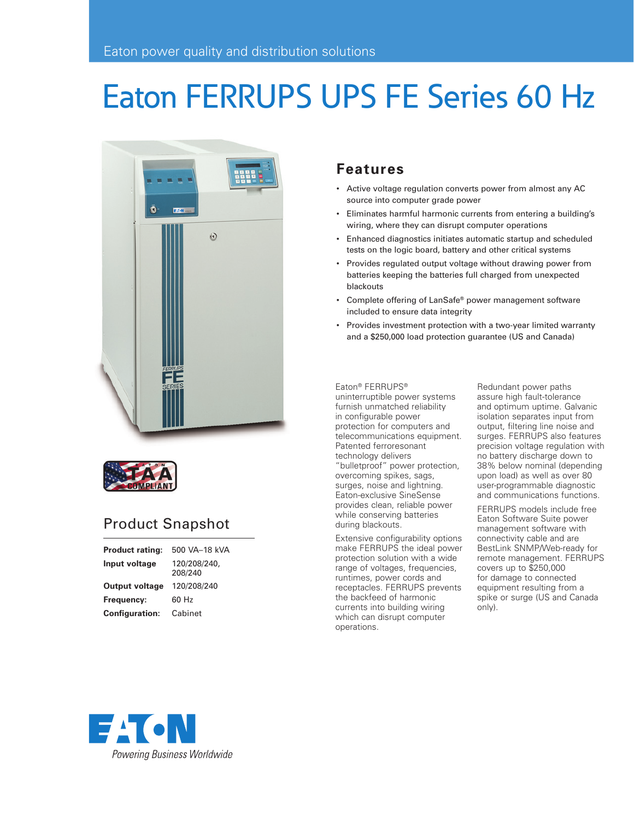# Eaton FERRUPS UPS FE Series 60 Hz





# Product Snapshot

| <b>Product rating:</b> | 500 VA-18 kVA           |
|------------------------|-------------------------|
| Input voltage          | 120/208/240,<br>208/240 |
| <b>Output voltage</b>  | 120/208/240             |
| Frequency:             | 60 Hz                   |
| <b>Configuration:</b>  | Cabinet                 |

### **Features**

- Active voltage regulation converts power from almost any AC source into computer grade power
- Eliminates harmful harmonic currents from entering a building's wiring, where they can disrupt computer operations
- Enhanced diagnostics initiates automatic startup and scheduled tests on the logic board, battery and other critical systems
- Provides regulated output voltage without drawing power from batteries keeping the batteries full charged from unexpected blackouts
- Complete offering of LanSafe® power management software included to ensure data integrity
- Provides investment protection with a two-year limited warranty and a \$250,000 load protection guarantee (US and Canada)

Eaton® FERRUPS®

uninterruptible power systems furnish unmatched reliability in configurable power protection for computers and telecommunications equipment. Patented ferroresonant technology delivers "bulletproof" power protection, overcoming spikes, sags, surges, noise and lightning. Eaton-exclusive SineSense provides clean, reliable power while conserving batteries during blackouts.

Extensive configurability options make FERRUPS the ideal power protection solution with a wide range of voltages, frequencies, runtimes, power cords and receptacles. FERRUPS prevents the backfeed of harmonic currents into building wiring which can disrupt computer operations.

Redundant power paths assure high fault-tolerance and optimum uptime. Galvanic isolation separates input from output, filtering line noise and surges. FERRUPS also features precision voltage regulation with no battery discharge down to 38% below nominal (depending upon load) as well as over 80 user-programmable diagnostic and communications functions.

FERRUPS models include free Eaton Software Suite power management software with connectivity cable and are BestLink SNMP/Web-ready for remote management. FERRUPS covers up to \$250,000 for damage to connected equipment resulting from a spike or surge (US and Canada only).